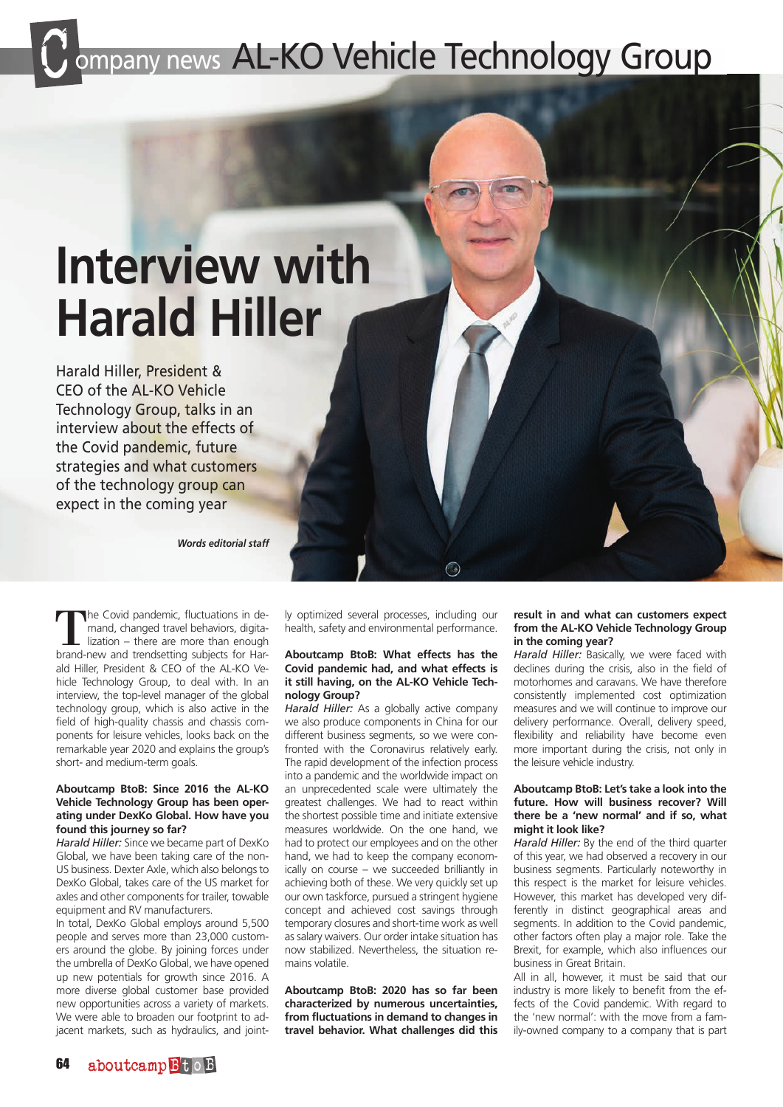## mpany news AL-KO Vehicle Technology Group

# **Interview with Harald Hiller**

Harald Hiller, President & CEO of the AL-KO Vehicle Technology Group, talks in an interview about the effects of the Covid pandemic, future strategies and what customers of the technology group can expect in the coming year

*Words editorial staff*

The Covid pandemic, fluctuations in de-<br>
mand, changed travel behaviors, digita-<br>
lization – there are more than enough<br>
brand-new and trendsetting subjects for Harmand, changed travel behaviors, digitalization – there are more than enough ald Hiller, President & CEO of the AL-KO Vehicle Technology Group, to deal with. In an interview, the top-level manager of the global technology group, which is also active in the field of high-quality chassis and chassis components for leisure vehicles, looks back on the remarkable year 2020 and explains the group's short- and medium-term goals.

#### **Aboutcamp BtoB: Since 2016 the AL-KO Vehicle Technology Group has been operating under DexKo Global. How have you found this journey so far?**

*Harald Hiller:* Since we became part of DexKo Global, we have been taking care of the non-US business. Dexter Axle, which also belongs to DexKo Global, takes care of the US market for axles and other components for trailer, towable equipment and RV manufacturers.

In total, DexKo Global employs around 5,500 people and serves more than 23,000 customers around the globe. By joining forces under the umbrella of DexKo Global, we have opened up new potentials for growth since 2016. A more diverse global customer base provided new opportunities across a variety of markets. We were able to broaden our footprint to adjacent markets, such as hydraulics, and jointly optimized several processes, including our health, safety and environmental performance.

#### **Aboutcamp BtoB: What effects has the Covid pandemic had, and what effects is it still having, on the AL-KO Vehicle Technology Group?**

*Harald Hiller:* As a globally active company we also produce components in China for our different business segments, so we were confronted with the Coronavirus relatively early. The rapid development of the infection process into a pandemic and the worldwide impact on an unprecedented scale were ultimately the greatest challenges. We had to react within the shortest possible time and initiate extensive measures worldwide. On the one hand, we had to protect our employees and on the other hand, we had to keep the company economically on course – we succeeded brilliantly in achieving both of these. We very quickly set up our own taskforce, pursued a stringent hygiene concept and achieved cost savings through temporary closures and short-time work as well as salary waivers. Our order intake situation has now stabilized. Nevertheless, the situation remains volatile.

**Aboutcamp BtoB: 2020 has so far been characterized by numerous uncertainties, from fluctuations in demand to changes in travel behavior. What challenges did this** 

#### **result in and what can customers expect from the AL-KO Vehicle Technology Group in the coming year?**

*Harald Hiller:* Basically, we were faced with declines during the crisis, also in the field of motorhomes and caravans. We have therefore consistently implemented cost optimization measures and we will continue to improve our delivery performance. Overall, delivery speed, flexibility and reliability have become even more important during the crisis, not only in the leisure vehicle industry.

#### **Aboutcamp BtoB: Let's take a look into the future. How will business recover? Will there be a 'new normal' and if so, what might it look like?**

*Harald Hiller:* By the end of the third quarter of this year, we had observed a recovery in our business segments. Particularly noteworthy in this respect is the market for leisure vehicles. However, this market has developed very differently in distinct geographical areas and segments. In addition to the Covid pandemic, other factors often play a major role. Take the Brexit, for example, which also influences our business in Great Britain.

All in all, however, it must be said that our industry is more likely to benefit from the effects of the Covid pandemic. With regard to the 'new normal': with the move from a family-owned company to a company that is part